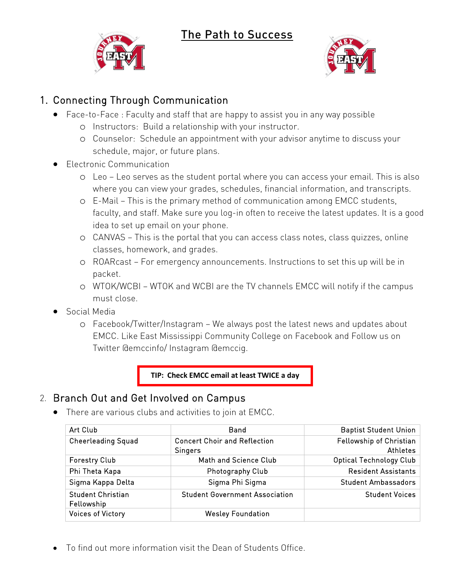The Path to Success





# 1. Connecting Through Communication

- Face-to-Face : Faculty and staff that are happy to assist you in any way possible
	- o Instructors: Build a relationship with your instructor.
	- o Counselor: Schedule an appointment with your advisor anytime to discuss your schedule, major, or future plans.
- Electronic Communication
	- o Leo Leo serves as the student portal where you can access your email. This is also where you can view your grades, schedules, financial information, and transcripts.
	- o E-Mail This is the primary method of communication among EMCC students, faculty, and staff. Make sure you log-in often to receive the latest updates. It is a good idea to set up email on your phone.
	- o CANVAS This is the portal that you can access class notes, class quizzes, online classes, homework, and grades.
	- o ROARcast For emergency announcements. Instructions to set this up will be in packet.
	- o WTOK/WCBI WTOK and WCBI are the TV channels EMCC will notify if the campus must close.
- Social Media
	- o Facebook/Twitter/Instagram We always post the latest news and updates about EMCC. Like East Mississippi Community College on Facebook and Follow us on Twitter @emccinfo/ Instagram @emccig.

**TIP: Check EMCC email at least TWICE a day**

# 2. Branch Out and Get Involved on Campus

• There are various clubs and activities to join at EMCC.

| Art Club                               | Band                                           | <b>Baptist Student Union</b>               |
|----------------------------------------|------------------------------------------------|--------------------------------------------|
| <b>Cheerleading Squad</b>              | <b>Concert Choir and Reflection</b><br>Singers | Fellowship of Christian<br><b>Athletes</b> |
| <b>Forestry Club</b>                   | Math and Science Club                          | <b>Optical Technology Club</b>             |
| Phi Theta Kapa                         | Photography Club                               | <b>Resident Assistants</b>                 |
| Sigma Kappa Delta                      | Sigma Phi Sigma                                | <b>Student Ambassadors</b>                 |
| <b>Student Christian</b><br>Fellowship | <b>Student Government Association</b>          | <b>Student Voices</b>                      |
| <b>Voices of Victory</b>               | <b>Wesley Foundation</b>                       |                                            |

• To find out more information visit the Dean of Students Office.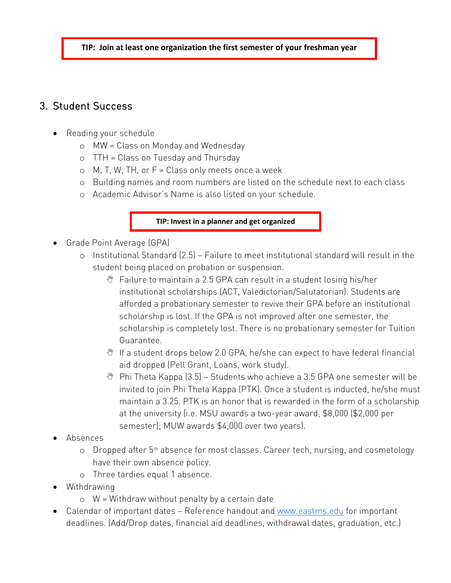**TIP: Join at least one organization the first semester of your freshman year**

### 3. Student Success

- Reading your schedule
	- o MW = Class on Monday and Wednesday
	- o TTH = Class on Tuesday and Thursday
	- $\circ$  M, T, W, TH, or  $F =$  Class only meets once a week
	- o Building names and room numbers are listed on the schedule next to each class
	- o Academic Advisor's Name is also listed on your schedule.

#### **TIP: Invest in a planner and get organized**

- Grade Point Average (GPA)
	- o Institutional Standard (2.5) Failure to meet institutional standard will result in the student being placed on probation or suspension.
		- $\mathcal Y$  Failure to maintain a 2.5 GPA can result in a student losing his/her institutional scholarships (ACT, Valedictorian/Salutatorian). Students are afforded a probationary semester to revive their GPA before an institutional scholarship is lost. If the GPA is not improved after one semester, the scholarship is completely lost. There is no probationary semester for Tuition Guarantee.
		- **M** If a student drops below 2.0 GPA, he/she can expect to have federal financial aid dropped (Pell Grant, Loans, work study).
		- Phi Theta Kappa (3.5) Students who achieve a 3.5 GPA one semester will be invited to join Phi Theta Kappa (PTK). Once a student is inducted, he/she must maintain a 3.25. PTK is an honor that is rewarded in the form of a scholarship at the university (i.e. MSU awards a two-year award, \$8,000 (\$2,000 per semester); MUW awards \$4,000 over two years).
- Absences
	- o Dropped after 5th absence for most classes. Career tech, nursing, and cosmetology have their own absence policy.
	- o Three tardies equal 1 absence.
- Withdrawing
	- $\circ$  W = Withdraw without penalty by a certain date
- Calendar of important dates Reference handout and [www.eastms.edu](http://www.eastms.edu/) for important deadlines. (Add/Drop dates, financial aid deadlines, withdrawal dates, graduation, etc.)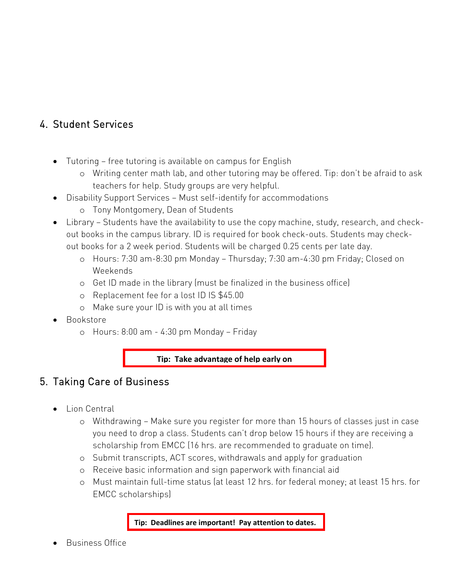## 4. Student Services

- Tutoring free tutoring is available on campus for English
	- o Writing center math lab, and other tutoring may be offered. Tip: don't be afraid to ask teachers for help. Study groups are very helpful.
- Disability Support Services Must self-identify for accommodations
	- o Tony Montgomery, Dean of Students
- Library Students have the availability to use the copy machine, study, research, and checkout books in the campus library. ID is required for book check-outs. Students may checkout books for a 2 week period. Students will be charged 0.25 cents per late day.
	- o Hours: 7:30 am-8:30 pm Monday Thursday; 7:30 am-4:30 pm Friday; Closed on Weekends
	- o Get ID made in the library (must be finalized in the business office)
	- o Replacement fee for a lost ID IS \$45.00
	- o Make sure your ID is with you at all times
- Bookstore
	- o Hours: 8:00 am 4:30 pm Monday Friday

**Tip: Take advantage of help early on**

### 5. Taking Care of Business

- Lion Central
	- o Withdrawing Make sure you register for more than 15 hours of classes just in case you need to drop a class. Students can't drop below 15 hours if they are receiving a scholarship from EMCC (16 hrs. are recommended to graduate on time).
	- o Submit transcripts, ACT scores, withdrawals and apply for graduation
	- o Receive basic information and sign paperwork with financial aid
	- o Must maintain full-time status (at least 12 hrs. for federal money; at least 15 hrs. for EMCC scholarships)

#### **Tip: Deadlines are important! Pay attention to dates.**

• Business Office